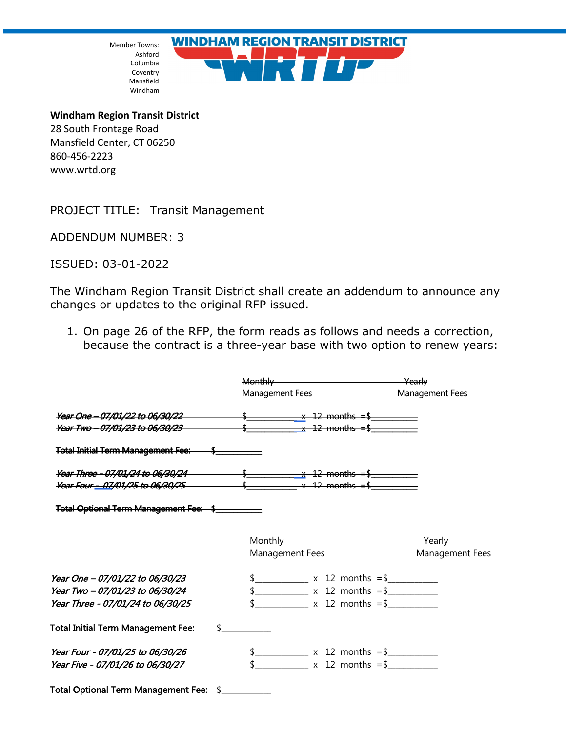Member Towns: Ashford Columbia Coventry Mansfield Windham



**Windham Region Transit District** 28 South Frontage Road Mansfield Center, CT 06250 860-456-2223 www.wrtd.org

PROJECT TITLE: Transit Management

ADDENDUM NUMBER: 3

ISSUED: 03-01-2022

The Windham Region Transit District shall create an addendum to announce any changes or updates to the original RFP issued.

1. On page 26 of the RFP, the form reads as follows and needs a correction, because the contract is a three-year base with two option to renew years:

|                                                                                                                                                                                          | Monthly Yearly                            |                 |
|------------------------------------------------------------------------------------------------------------------------------------------------------------------------------------------|-------------------------------------------|-----------------|
| <b>Year One – 07/01/22 to 06/30/22</b> $\frac{1}{2}$ $\frac{1}{2}$ $\frac{1}{2}$ months = \$<br><i>Year Two - 07/01/23 to 06/30/23</i> $\frac{1}{2}$ $\frac{1}{2}$ months = \$           |                                           |                 |
| Total Initial Term Management Fee: \$                                                                                                                                                    |                                           |                 |
| Year Three - 07/01/24 to 06/30/24 $\frac{1}{2}$ $\frac{1}{2}$ months = \$<br><b>Year Four - 07/01/25 to 06/30/25</b> $\frac{1}{2}$ $\frac{1}{2}$ $\frac{1}{2}$ $\frac{1}{2}$ months = \$ |                                           |                 |
| Total Optional Term Management Fee: \$                                                                                                                                                   |                                           |                 |
|                                                                                                                                                                                          | Monthly                                   | Yearly          |
|                                                                                                                                                                                          | Management Fees                           | Management Fees |
| Year One - 07/01/22 to 06/30/23                                                                                                                                                          | $\frac{1}{2}$ x 12 months = \$            |                 |
| Year Two - 07/01/23 to 06/30/24                                                                                                                                                          | $\frac{12}{12}$ x 12 months = \$          |                 |
| Year Three - 07/01/24 to 06/30/25                                                                                                                                                        |                                           |                 |
| <b>Total Initial Term Management Fee:</b>                                                                                                                                                | $\sim$                                    |                 |
| Year Four - 07/01/25 to 06/30/26                                                                                                                                                         | $\frac{1}{2}$ x 12 months = $\frac{1}{2}$ |                 |
| Year Five - 07/01/26 to 06/30/27                                                                                                                                                         | $\frac{1}{2}$ x 12 months = \$            |                 |
| Total Optional Term Management Fee: \$_________                                                                                                                                          |                                           |                 |